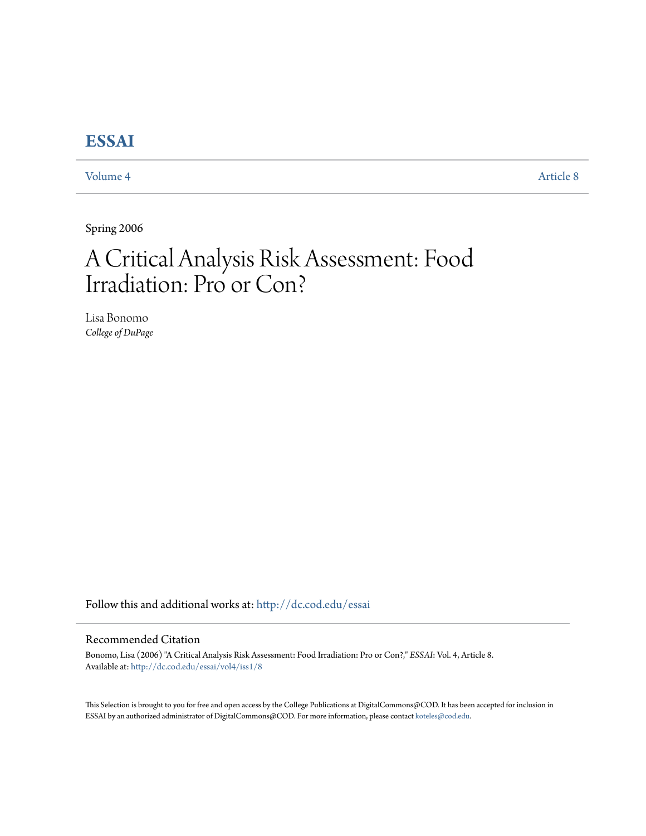## **[ESSAI](http://dc.cod.edu/essai?utm_source=dc.cod.edu%2Fessai%2Fvol4%2Fiss1%2F8&utm_medium=PDF&utm_campaign=PDFCoverPages)**

[Volume 4](http://dc.cod.edu/essai/vol4?utm_source=dc.cod.edu%2Fessai%2Fvol4%2Fiss1%2F8&utm_medium=PDF&utm_campaign=PDFCoverPages) [Article 8](http://dc.cod.edu/essai/vol4/iss1/8?utm_source=dc.cod.edu%2Fessai%2Fvol4%2Fiss1%2F8&utm_medium=PDF&utm_campaign=PDFCoverPages)

Spring 2006

# A Critical Analysis Risk Assessment: Food Irradiation: Pro or Con?

Lisa Bonomo *College of DuPage*

Follow this and additional works at: [http://dc.cod.edu/essai](http://dc.cod.edu/essai?utm_source=dc.cod.edu%2Fessai%2Fvol4%2Fiss1%2F8&utm_medium=PDF&utm_campaign=PDFCoverPages)

### Recommended Citation

Bonomo, Lisa (2006) "A Critical Analysis Risk Assessment: Food Irradiation: Pro or Con?," *ESSAI*: Vol. 4, Article 8. Available at: [http://dc.cod.edu/essai/vol4/iss1/8](http://dc.cod.edu/essai/vol4/iss1/8?utm_source=dc.cod.edu%2Fessai%2Fvol4%2Fiss1%2F8&utm_medium=PDF&utm_campaign=PDFCoverPages)

This Selection is brought to you for free and open access by the College Publications at DigitalCommons@COD. It has been accepted for inclusion in ESSAI by an authorized administrator of DigitalCommons@COD. For more information, please contact [koteles@cod.edu](mailto:koteles@cod.edu).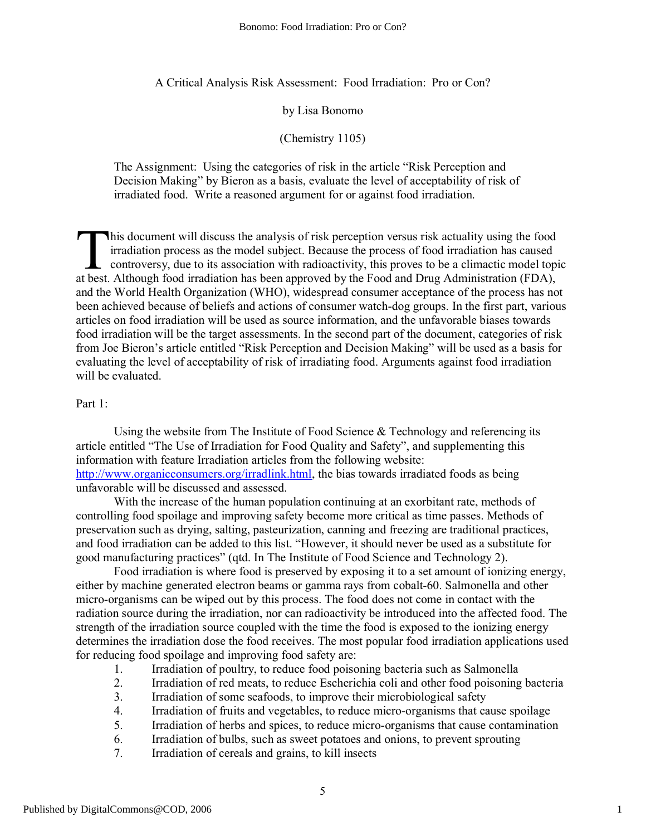A Critical Analysis Risk Assessment: Food Irradiation: Pro or Con?

by Lisa Bonomo

(Chemistry 1105)

The Assignment: Using the categories of risk in the article "Risk Perception and Decision Making" by Bieron as a basis, evaluate the level of acceptability of risk of irradiated food. Write a reasoned argument for or against food irradiation.

his document will discuss the analysis of risk perception versus risk actuality using the food irradiation process as the model subject. Because the process of food irradiation has caused controversy, due to its association with radioactivity, this proves to be a climactic model topic This document will discuss the analysis of risk perception versus risk actuality using the food irradiation process as the model subject. Because the process of food irradiation has caused controversy, due to its associati and the World Health Organization (WHO), widespread consumer acceptance of the process has not been achieved because of beliefs and actions of consumer watch-dog groups. In the first part, various articles on food irradiation will be used as source information, and the unfavorable biases towards food irradiation will be the target assessments. In the second part of the document, categories of risk from Joe Bieron's article entitled "Risk Perception and Decision Making" will be used as a basis for evaluating the level of acceptability of risk of irradiating food. Arguments against food irradiation will be evaluated.

#### Part 1:

Using the website from The Institute of Food Science  $\&$  Technology and referencing its article entitled "The Use of Irradiation for Food Quality and Safety", and supplementing this information with feature Irradiation articles from the following website: [http://www.organicconsumers.org/irradlink.html,](http://www.organicconsumers.org/irradlink.html) the bias towards irradiated foods as being unfavorable will be discussed and assessed.

With the increase of the human population continuing at an exorbitant rate, methods of controlling food spoilage and improving safety become more critical as time passes. Methods of preservation such as drying, salting, pasteurization, canning and freezing are traditional practices, and food irradiation can be added to this list. "However, it should never be used as a substitute for good manufacturing practices" (qtd. In The Institute of Food Science and Technology 2).

Food irradiation is where food is preserved by exposing it to a set amount of ionizing energy, either by machine generated electron beams or gamma rays from cobalt-60. Salmonella and other micro-organisms can be wiped out by this process. The food does not come in contact with the radiation source during the irradiation, nor can radioactivity be introduced into the affected food. The strength of the irradiation source coupled with the time the food is exposed to the ionizing energy determines the irradiation dose the food receives. The most popular food irradiation applications used for reducing food spoilage and improving food safety are:

- 1. Irradiation of poultry, to reduce food poisoning bacteria such as Salmonella
- 2. Irradiation of red meats, to reduce Escherichia coli and other food poisoning bacteria
- 3. Irradiation of some seafoods, to improve their microbiological safety
- 4. Irradiation of fruits and vegetables, to reduce micro-organisms that cause spoilage
- 5. Irradiation of herbs and spices, to reduce micro-organisms that cause contamination
- 6. Irradiation of bulbs, such as sweet potatoes and onions, to prevent sprouting
- 7. Irradiation of cereals and grains, to kill insects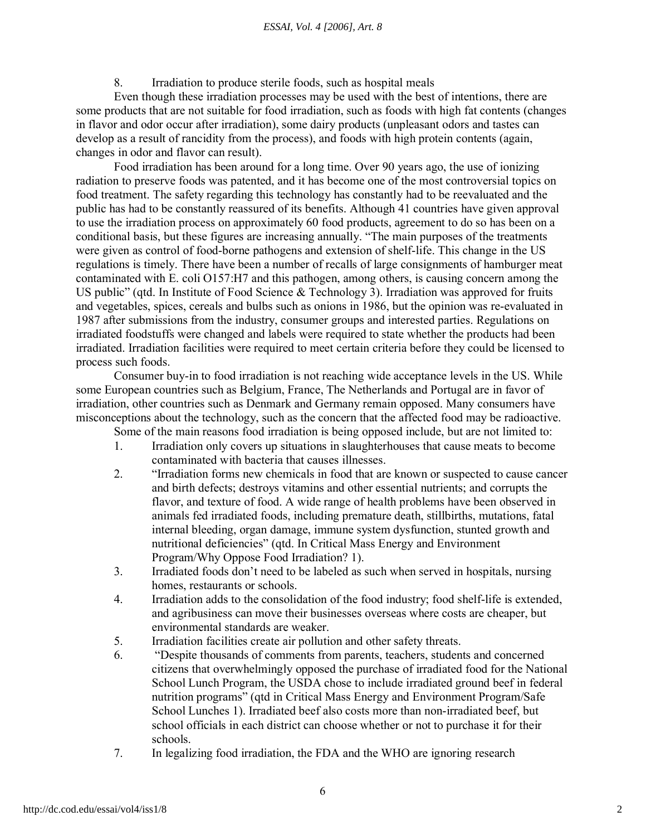#### *ESSAI, Vol. 4 [2006], Art. 8*

8. Irradiation to produce sterile foods, such as hospital meals

Even though these irradiation processes may be used with the best of intentions, there are some products that are not suitable for food irradiation, such as foods with high fat contents (changes in flavor and odor occur after irradiation), some dairy products (unpleasant odors and tastes can develop as a result of rancidity from the process), and foods with high protein contents (again, changes in odor and flavor can result).

Food irradiation has been around for a long time. Over 90 years ago, the use of ionizing radiation to preserve foods was patented, and it has become one of the most controversial topics on food treatment. The safety regarding this technology has constantly had to be reevaluated and the public has had to be constantly reassured of its benefits. Although 41 countries have given approval to use the irradiation process on approximately 60 food products, agreement to do so has been on a conditional basis, but these figures are increasing annually. "The main purposes of the treatments were given as control of food-borne pathogens and extension of shelf-life. This change in the US regulations is timely. There have been a number of recalls of large consignments of hamburger meat contaminated with E. coli O157:H7 and this pathogen, among others, is causing concern among the US public" (qtd. In Institute of Food Science & Technology 3). Irradiation was approved for fruits and vegetables, spices, cereals and bulbs such as onions in 1986, but the opinion was re-evaluated in 1987 after submissions from the industry, consumer groups and interested parties. Regulations on irradiated foodstuffs were changed and labels were required to state whether the products had been irradiated. Irradiation facilities were required to meet certain criteria before they could be licensed to process such foods.

Consumer buy-in to food irradiation is not reaching wide acceptance levels in the US. While some European countries such as Belgium, France, The Netherlands and Portugal are in favor of irradiation, other countries such as Denmark and Germany remain opposed. Many consumers have misconceptions about the technology, such as the concern that the affected food may be radioactive.

Some of the main reasons food irradiation is being opposed include, but are not limited to:

- 1. Irradiation only covers up situations in slaughterhouses that cause meats to become contaminated with bacteria that causes illnesses.
- 2. "Irradiation forms new chemicals in food that are known or suspected to cause cancer and birth defects; destroys vitamins and other essential nutrients; and corrupts the flavor, and texture of food. A wide range of health problems have been observed in animals fed irradiated foods, including premature death, stillbirths, mutations, fatal internal bleeding, organ damage, immune system dysfunction, stunted growth and nutritional deficiencies" (qtd. In Critical Mass Energy and Environment Program/Why Oppose Food Irradiation? 1).
- 3. Irradiated foods don't need to be labeled as such when served in hospitals, nursing homes, restaurants or schools.
- 4. Irradiation adds to the consolidation of the food industry; food shelf-life is extended, and agribusiness can move their businesses overseas where costs are cheaper, but environmental standards are weaker.
- 5. Irradiation facilities create air pollution and other safety threats.
- 6. "Despite thousands of comments from parents, teachers, students and concerned citizens that overwhelmingly opposed the purchase of irradiated food for the National School Lunch Program, the USDA chose to include irradiated ground beef in federal nutrition programs" (qtd in Critical Mass Energy and Environment Program/Safe School Lunches 1). Irradiated beef also costs more than non-irradiated beef, but school officials in each district can choose whether or not to purchase it for their schools.
- 7. In legalizing food irradiation, the FDA and the WHO are ignoring research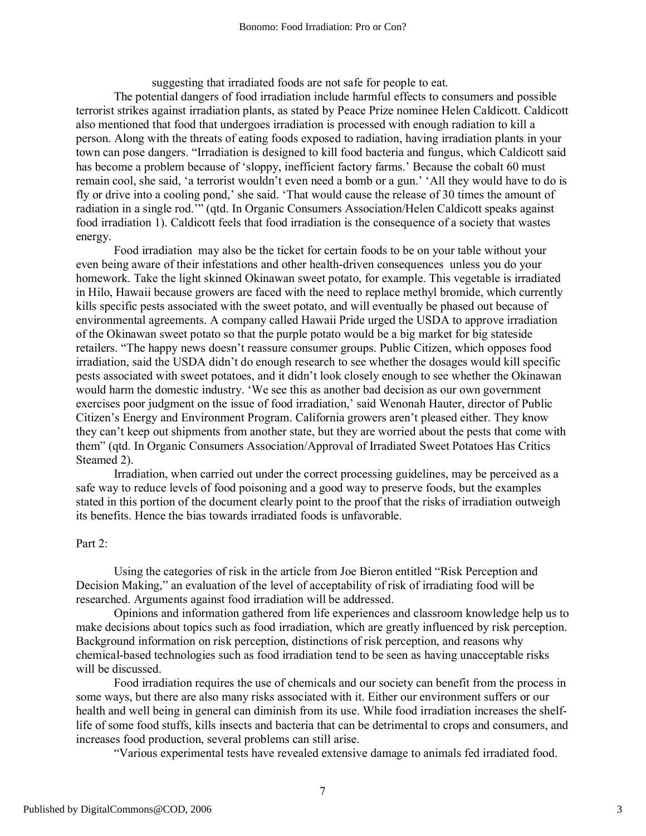suggesting that irradiated foods are not safe for people to eat.

The potential dangers of food irradiation include harmful effects to consumers and possible terrorist strikes against irradiation plants, as stated by Peace Prize nominee Helen Caldicott. Caldicott also mentioned that food that undergoes irradiation is processed with enough radiation to kill a person. Along with the threats of eating foods exposed to radiation, having irradiation plants in your town can pose dangers. "Irradiation is designed to kill food bacteria and fungus, which Caldicott said has become a problem because of 'sloppy, inefficient factory farms.' Because the cobalt 60 must remain cool, she said, 'a terrorist wouldn't even need a bomb or a gun.' 'All they would have to do is fly or drive into a cooling pond,' she said. 'That would cause the release of 30 times the amount of radiation in a single rod.'" (qtd. In Organic Consumers Association/Helen Caldicott speaks against food irradiation 1). Caldicott feels that food irradiation is the consequence of a society that wastes energy.

Food irradiation may also be the ticket for certain foods to be on your table without your even being aware of their infestations and other health-driven consequences unless you do your homework. Take the light skinned Okinawan sweet potato, for example. This vegetable is irradiated in Hilo, Hawaii because growers are faced with the need to replace methyl bromide, which currently kills specific pests associated with the sweet potato, and will eventually be phased out because of environmental agreements. A company called Hawaii Pride urged the USDA to approve irradiation of the Okinawan sweet potato so that the purple potato would be a big market for big stateside retailers. "The happy news doesn't reassure consumer groups. Public Citizen, which opposes food irradiation, said the USDA didn't do enough research to see whether the dosages would kill specific pests associated with sweet potatoes, and it didn't look closely enough to see whether the Okinawan would harm the domestic industry. 'We see this as another bad decision as our own government exercises poor judgment on the issue of food irradiation,' said Wenonah Hauter, director of Public Citizen's Energy and Environment Program. California growers aren't pleased either. They know they can't keep out shipments from another state, but they are worried about the pests that come with them" (qtd. In Organic Consumers Association/Approval of Irradiated Sweet Potatoes Has Critics Steamed 2).

Irradiation, when carried out under the correct processing guidelines, may be perceived as a safe way to reduce levels of food poisoning and a good way to preserve foods, but the examples stated in this portion of the document clearly point to the proof that the risks of irradiation outweigh its benefits. Hence the bias towards irradiated foods is unfavorable.

#### Part 2:

Using the categories of risk in the article from Joe Bieron entitled "Risk Perception and Decision Making," an evaluation of the level of acceptability of risk of irradiating food will be researched. Arguments against food irradiation will be addressed.

Opinions and information gathered from life experiences and classroom knowledge help us to make decisions about topics such as food irradiation, which are greatly influenced by risk perception. Background information on risk perception, distinctions of risk perception, and reasons why chemical-based technologies such as food irradiation tend to be seen as having unacceptable risks will be discussed.

Food irradiation requires the use of chemicals and our society can benefit from the process in some ways, but there are also many risks associated with it. Either our environment suffers or our health and well being in general can diminish from its use. While food irradiation increases the shelflife of some food stuffs, kills insects and bacteria that can be detrimental to crops and consumers, and increases food production, several problems can still arise.

"Various experimental tests have revealed extensive damage to animals fed irradiated food.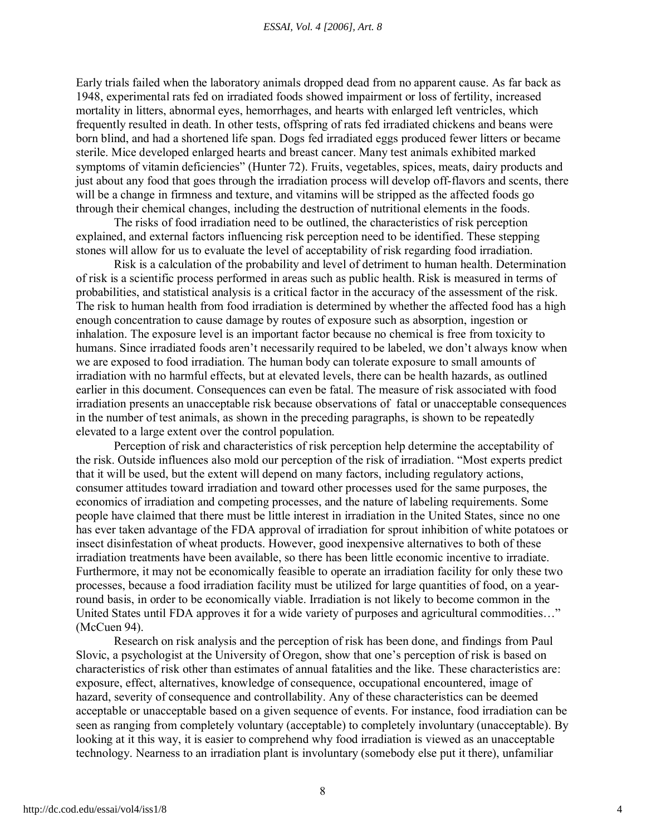#### *ESSAI, Vol. 4 [2006], Art. 8*

Early trials failed when the laboratory animals dropped dead from no apparent cause. As far back as 1948, experimental rats fed on irradiated foods showed impairment or loss of fertility, increased mortality in litters, abnormal eyes, hemorrhages, and hearts with enlarged left ventricles, which frequently resulted in death. In other tests, offspring of rats fed irradiated chickens and beans were born blind, and had a shortened life span. Dogs fed irradiated eggs produced fewer litters or became sterile. Mice developed enlarged hearts and breast cancer. Many test animals exhibited marked symptoms of vitamin deficiencies" (Hunter 72). Fruits, vegetables, spices, meats, dairy products and just about any food that goes through the irradiation process will develop off-flavors and scents, there will be a change in firmness and texture, and vitamins will be stripped as the affected foods go through their chemical changes, including the destruction of nutritional elements in the foods.

The risks of food irradiation need to be outlined, the characteristics of risk perception explained, and external factors influencing risk perception need to be identified. These stepping stones will allow for us to evaluate the level of acceptability of risk regarding food irradiation.

Risk is a calculation of the probability and level of detriment to human health. Determination of risk is a scientific process performed in areas such as public health. Risk is measured in terms of probabilities, and statistical analysis is a critical factor in the accuracy of the assessment of the risk. The risk to human health from food irradiation is determined by whether the affected food has a high enough concentration to cause damage by routes of exposure such as absorption, ingestion or inhalation. The exposure level is an important factor because no chemical is free from toxicity to humans. Since irradiated foods aren't necessarily required to be labeled, we don't always know when we are exposed to food irradiation. The human body can tolerate exposure to small amounts of irradiation with no harmful effects, but at elevated levels, there can be health hazards, as outlined earlier in this document. Consequences can even be fatal. The measure of risk associated with food irradiation presents an unacceptable risk because observations of fatal or unacceptable consequences in the number of test animals, as shown in the preceding paragraphs, is shown to be repeatedly elevated to a large extent over the control population.

Perception of risk and characteristics of risk perception help determine the acceptability of the risk. Outside influences also mold our perception of the risk of irradiation. "Most experts predict that it will be used, but the extent will depend on many factors, including regulatory actions, consumer attitudes toward irradiation and toward other processes used for the same purposes, the economics of irradiation and competing processes, and the nature of labeling requirements. Some people have claimed that there must be little interest in irradiation in the United States, since no one has ever taken advantage of the FDA approval of irradiation for sprout inhibition of white potatoes or insect disinfestation of wheat products. However, good inexpensive alternatives to both of these irradiation treatments have been available, so there has been little economic incentive to irradiate. Furthermore, it may not be economically feasible to operate an irradiation facility for only these two processes, because a food irradiation facility must be utilized for large quantities of food, on a yearround basis, in order to be economically viable. Irradiation is not likely to become common in the United States until FDA approves it for a wide variety of purposes and agricultural commodities…" (McCuen 94).

Research on risk analysis and the perception of risk has been done, and findings from Paul Slovic, a psychologist at the University of Oregon, show that one's perception of risk is based on characteristics of risk other than estimates of annual fatalities and the like. These characteristics are: exposure, effect, alternatives, knowledge of consequence, occupational encountered, image of hazard, severity of consequence and controllability. Any of these characteristics can be deemed acceptable or unacceptable based on a given sequence of events. For instance, food irradiation can be seen as ranging from completely voluntary (acceptable) to completely involuntary (unacceptable). By looking at it this way, it is easier to comprehend why food irradiation is viewed as an unacceptable technology. Nearness to an irradiation plant is involuntary (somebody else put it there), unfamiliar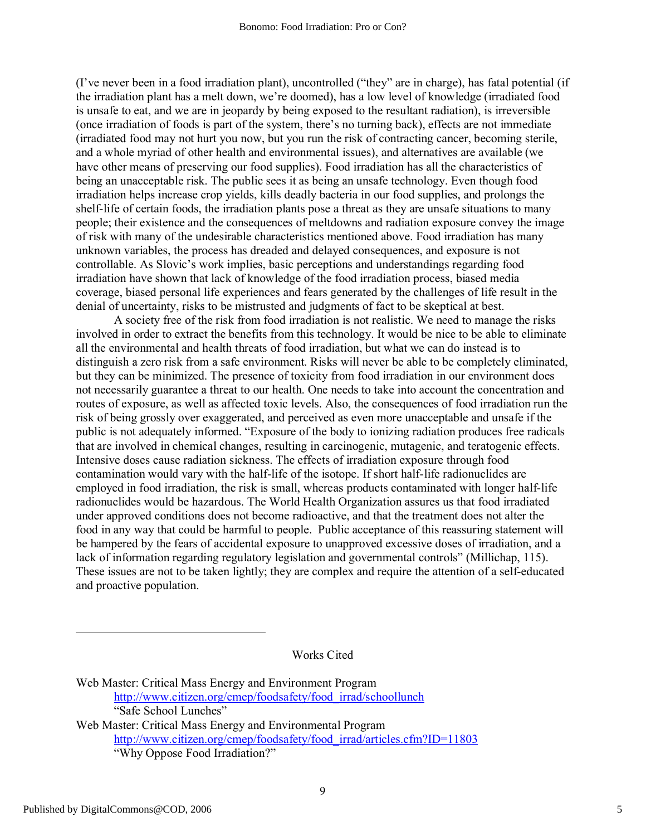(I've never been in a food irradiation plant), uncontrolled ("they" are in charge), has fatal potential (if the irradiation plant has a melt down, we're doomed), has a low level of knowledge (irradiated food is unsafe to eat, and we are in jeopardy by being exposed to the resultant radiation), is irreversible (once irradiation of foods is part of the system, there's no turning back), effects are not immediate (irradiated food may not hurt you now, but you run the risk of contracting cancer, becoming sterile, and a whole myriad of other health and environmental issues), and alternatives are available (we have other means of preserving our food supplies). Food irradiation has all the characteristics of being an unacceptable risk. The public sees it as being an unsafe technology. Even though food irradiation helps increase crop yields, kills deadly bacteria in our food supplies, and prolongs the shelf-life of certain foods, the irradiation plants pose a threat as they are unsafe situations to many people; their existence and the consequences of meltdowns and radiation exposure convey the image of risk with many of the undesirable characteristics mentioned above. Food irradiation has many unknown variables, the process has dreaded and delayed consequences, and exposure is not controllable. As Slovic's work implies, basic perceptions and understandings regarding food irradiation have shown that lack of knowledge of the food irradiation process, biased media coverage, biased personal life experiences and fears generated by the challenges of life result in the denial of uncertainty, risks to be mistrusted and judgments of fact to be skeptical at best.

A society free of the risk from food irradiation is not realistic. We need to manage the risks involved in order to extract the benefits from this technology. It would be nice to be able to eliminate all the environmental and health threats of food irradiation, but what we can do instead is to distinguish a zero risk from a safe environment. Risks will never be able to be completely eliminated, but they can be minimized. The presence of toxicity from food irradiation in our environment does not necessarily guarantee a threat to our health. One needs to take into account the concentration and routes of exposure, as well as affected toxic levels. Also, the consequences of food irradiation run the risk of being grossly over exaggerated, and perceived as even more unacceptable and unsafe if the public is not adequately informed. "Exposure of the body to ionizing radiation produces free radicals that are involved in chemical changes, resulting in carcinogenic, mutagenic, and teratogenic effects. Intensive doses cause radiation sickness. The effects of irradiation exposure through food contamination would vary with the half-life of the isotope. If short half-life radionuclides are employed in food irradiation, the risk is small, whereas products contaminated with longer half-life radionuclides would be hazardous. The World Health Organization assures us that food irradiated under approved conditions does not become radioactive, and that the treatment does not alter the food in any way that could be harmful to people. Public acceptance of this reassuring statement will be hampered by the fears of accidental exposure to unapproved excessive doses of irradiation, and a lack of information regarding regulatory legislation and governmental controls" (Millichap, 115). These issues are not to be taken lightly; they are complex and require the attention of a self-educated and proactive population.

Works Cited

Web Master: Critical Mass Energy and Environment Program [http://www.citizen.org/cmep/foodsafety/food\\_irrad/schoollunch](http://www.citizen.org/cmep/foodsafety/food_irrad/schoollunch) "Safe School Lunches" Web Master: Critical Mass Energy and Environmental Program [http://www.citizen.org/cmep/foodsafety/food\\_irrad/articles.cfm?ID=11803](http://www.citizen.org/cmep/foodsafety/food_irrad/articles.cfm?ID=11803) "Why Oppose Food Irradiation?"